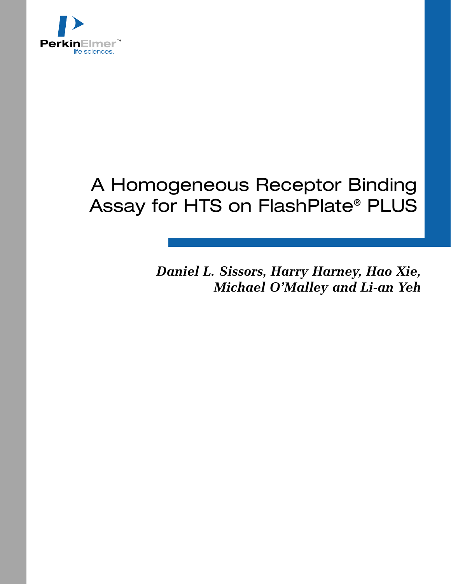

## A Homogeneous Receptor Binding Assay for HTS on FlashPlate® PLUS

*Daniel L. Sissors, Harry Harney, Hao Xie, Michael O'Malley and Li-an Yeh*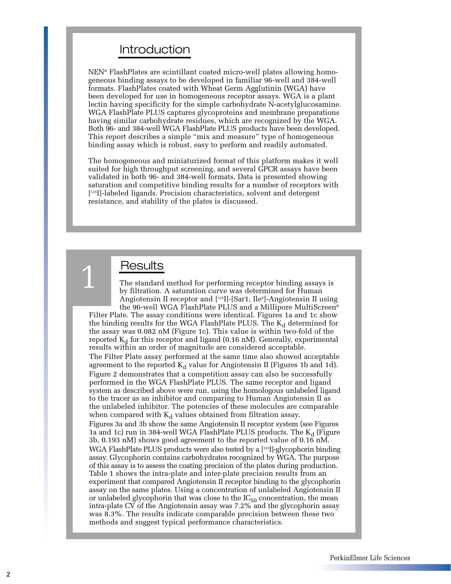## Introduction

NEN® FlashPlates are scintillant coated micro-well plates allowing homogeneous binding assays to be developed in familiar 96-well and 384-well formats. FlashPlates coated with Wheat Germ Agglutinin (WGA) have been developed for use in homogeneous receptor assays. WGA is a plant lectin having specificity for the simple carbohydrate N-acetylglucosamine. WGA FlashPlate PLUS captures glycoproteins and membrane preparations having similar carbohydrate residues, which are recognized by the WGA. Both 96- and 384-well WGA FlashPlate PLUS products have been developed. This report describes a simple "mix and measure" type of homogeneous binding assay which is robust, easy to perform and readily automated.

The homogeneous and miniaturized format of this platform makes it well suited for high throughput screening, and several GPCR assays have been validated in both 96- and 384-well formats. Data is presented showing saturation and competitive binding results for a number of receptors with [125I]-labeled ligands. Precision characteristics, solvent and detergent resistance, and stability of the plates is discussed.

## Results

1

The standard method for performing receptor binding assays is by filtration. A saturation curve was determined for Human Angiotensin II receptor and [125I]-[Sar1, Ile8]-Angiotensin II using the 96-well WGA FlashPlate PLUS and a Millipore MultiScreen®

Filter Plate. The assay conditions were identical. Figures 1a and 1c show the binding results for the WGA FlashPlate PLUS. The  $K_d$  determined for the assay was 0.082 nM (Figure 1c). This value is within two-fold of the reported  $K_d$  for this receptor and ligand (0.16 nM). Generally, experimental results within an order of magnitude are considered acceptable.

The Filter Plate assay performed at the same time also showed acceptable agreement to the reported  $K_d$  value for Angiotensin II (Figures 1b and 1d). Figure 2 demonstrates that a competition assay can also be successfully performed in the WGA FlashPlate PLUS. The same receptor and ligand system as described above were run, using the homologous unlabeled ligand to the tracer as an inhibitor and comparing to Human Angiotensin II as the unlabeled inhibitor. The potencies of these molecules are comparable when compared with  $K_d$  values obtained from filtration assay. Figures 3a and 3b show the same Angiotensin II receptor system (see Figures 1a and 1c) run in 384-well WGA FlashPlate PLUS products. The  $K_d$  (Figure 3b, 0.193 nM) shows good agreement to the reported value of 0.16 nM. WGA FlashPlate PLUS products were also tested by a [125]-glycophorin binding assay. Glycophorin contains carbohydrates recognized by WGA. The purpose

of this assay is to assess the coating precision of the plates during production. Table 1 shows the intra-plate and inter-plate precision results from an experiment that compared Angiotensin II receptor binding to the glycophorin assay on the same plates. Using a concentration of unlabeled Angiotensin II or unlabeled glycophorin that was close to the  $IC_{50}$  concentration, the mean intra-plate CV of the Angiotensin assay was 7.2% and the glycophorin assay was 8.3%. The results indicate comparable precision between these two methods and suggest typical performance characteristics.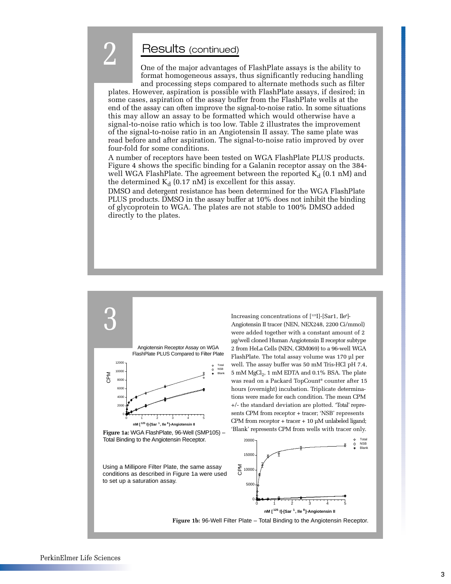## Results (continued)

2

One of the major advantages of FlashPlate assays is the ability to format homogeneous assays, thus significantly reducing handling and processing steps compared to alternate methods such as filter

plates. However, aspiration is possible with FlashPlate assays, if desired; in some cases, aspiration of the assay buffer from the FlashPlate wells at the end of the assay can often improve the signal-to-noise ratio. In some situations this may allow an assay to be formatted which would otherwise have a signal-to-noise ratio which is too low. Table 2 illustrates the improvement of the signal-to-noise ratio in an Angiotensin II assay. The same plate was read before and after aspiration. The signal-to-noise ratio improved by over four-fold for some conditions.

A number of receptors have been tested on WGA FlashPlate PLUS products. Figure 4 shows the specific binding for a Galanin receptor assay on the 384 well WGA FlashPlate. The agreement between the reported  $K_d$  (0.1 nM) and the determined  $K_d$  (0.17 nM) is excellent for this assay.

DMSO and detergent resistance has been determined for the WGA FlashPlate PLUS products. DMSO in the assay buffer at 10% does not inhibit the binding of glycoprotein to WGA. The plates are not stable to 100% DMSO added directly to the plates.



Increasing concentrations of [125I]-[Sar1, Ile8 ]- Angiotensin II tracer (NEN, NEX248, 2200 Ci/mmol) were added together with a constant amount of 2 µg/well cloned Human Angiotensin II receptor subtype 2 from HeLa Cells (NEN, CRM069) to a 96-well WGA FlashPlate. The total assay volume was 170 µl per well. The assay buffer was 50 mM Tris-HCl pH 7.4, 5 mM MgCl<sub>2</sub>, 1 mM EDTA and 0.1% BSA. The plate was read on a Packard TopCount® counter after 15 hours (overnight) incubation. Triplicate determinations were made for each condition. The mean CPM +/- the standard deviation are plotted. 'Total' represents CPM from receptor + tracer; 'NSB' represents CPM from receptor + tracer + 10 µM unlabeled ligand;



**Figure 1b:** 96-Well Filter Plate – Total Binding to the Angiotensin Receptor.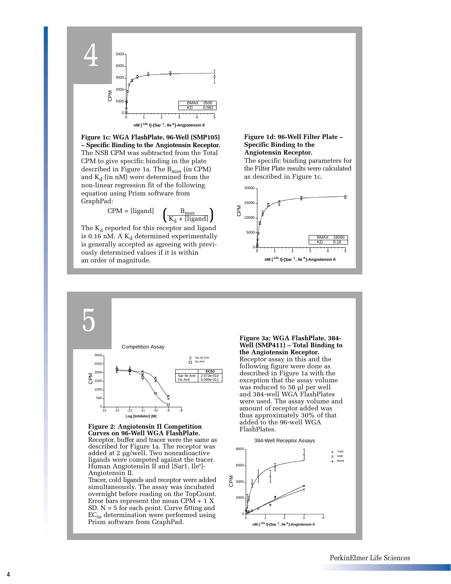

**Figure 1c: WGA FlashPlate, 96-Well (SMP105) – Specific Binding to the Angiotensin Receptor.** The NSB CPM was subtracted from the Total CPM to give specific binding in the plate described in Figure 1a. The B<sub>max</sub> (in CPM) and  $K_d$  (in nM) were determined from the non-linear regression fit of the following equation using Prism software from GraphPad:

$$
\text{CPM} = \text{[ligand]} \quad \left(\frac{\text{B}_{\text{max}}}{\text{K}_{\text{d}} + \text{[ligand]}}\right)
$$

The  $K_d$  reported for this receptor and ligand is 0.16 nM. A  $K_d$  determined experimentally is generally accepted as agreeing with previously determined values if it is within an order of magnitude.

### **Figure 1d: 96-Well Filter Plate – Specific Binding to the Angiotensin Receptor.**

The specific binding parameters for the Filter Plate results were calculated as described in Figure 1c.





**Figure 2: Angiotensin II Competition Curves on 96-Well WGA FlashPlate.** Receptor, buffer and tracer were the same as described for Figure 1a. The receptor was added at 2 µg/well. Two nonradioactive ligands were competed against the tracer. Human Angiotensin II and [Sar1, Ile8]-Angiotensin II.

Tracer, cold ligands and receptor were added simultaneously. The assay was incubated overnight before reading on the TopCount. Error bars represent the mean CPM + 1 X SD.  $N = 5$  for each point. Curve fitting and  $EC_{50}$  determination were performed using Prism software from GraphPad.

**Figure 3a: WGA FlashPlate, 384- Well (SMP411) – Total Binding to the Angiotensin Receptor.** Receptor assay in this and the following figure were done as described in Figure 1a with the exception that the assay volume was reduced to 50 µl per well and 384-well WGA FlashPlates were used. The assay volume and amount of receptor added was thus approximately 30% of that added to the 96-well WGA FlashPlates.



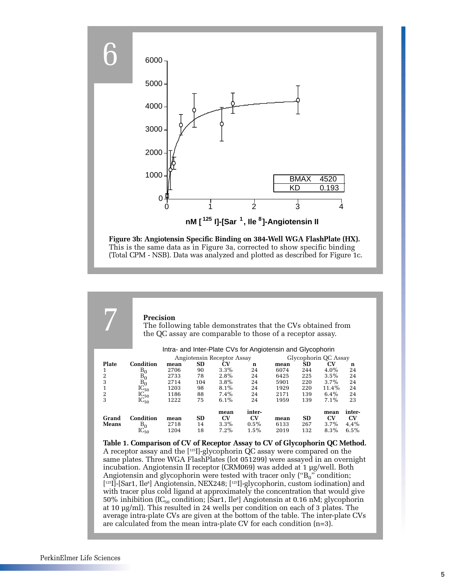

This is the same data as in Figure 3a, corrected to show specific binding (Total CPM - NSB). Data was analyzed and plotted as described for Figure 1c.

|                  | <b>Precision</b>                                                                                                           |              |          | The following table demonstrates that the CVs obtained from<br>the QC assay are comparable to those of a receptor assay. |             |              |            |                     |          |
|------------------|----------------------------------------------------------------------------------------------------------------------------|--------------|----------|--------------------------------------------------------------------------------------------------------------------------|-------------|--------------|------------|---------------------|----------|
|                  |                                                                                                                            |              |          | Intra- and Inter-Plate CVs for Angiotensin and Glycophorin                                                               |             |              |            |                     |          |
|                  | Angiotensin Receptor Assay                                                                                                 |              |          | Glycophorin QC Assay                                                                                                     |             |              |            |                     |          |
| <b>Plate</b>     | Condition                                                                                                                  | mean         | SD       | <b>CV</b>                                                                                                                | $\mathbf n$ | mean         | ŜD         | CV                  | n        |
| 1                | $B_0$                                                                                                                      | 2706         | 90       | 3.3%                                                                                                                     | 24          | 6074         | 244        | $4.0\%$             | 24       |
| $\boldsymbol{2}$ | $B_0^{\circ}$                                                                                                              | 2733         | 78       | $2.8\%$                                                                                                                  | 24          | 6425         | 225        | $3.5\%$             | 24       |
| 3                | $B_0$                                                                                                                      | 2714         | 104      | $3.8\%$                                                                                                                  | 24          | 5901         | 220        | $3.7\%$             | 24       |
| $\mathbf 1$<br>2 | $IC_{50}$                                                                                                                  | 1203<br>1186 | 98<br>88 | $8.1\%$<br>$7.4\%$                                                                                                       | 24<br>24    | 1929<br>2171 | 220<br>139 | $11.4\%$<br>$6.4\%$ | 24<br>24 |
| 3                | $IC_{50}$<br>$IC_{50}$                                                                                                     | 1222         | 75       | $6.1\%$                                                                                                                  | 24          | 1959         | 139        | $7.1\%$             | 23       |
|                  |                                                                                                                            |              |          |                                                                                                                          |             |              |            |                     |          |
|                  |                                                                                                                            |              |          | mean                                                                                                                     | inter-      |              |            | mean                | inter-   |
| Grand            | Condition                                                                                                                  | mean         | SD       | $\mathbf{C}\mathbf{V}$                                                                                                   | CV          | mean         | SD         | CV                  | CV       |
| <b>Means</b>     | $B_0$                                                                                                                      | 2718         | 14       | $3.3\%$                                                                                                                  | $0.5\%$     | 6133         | 267        | $3.7\%$             | 4,4%     |
|                  | $IC_{50}$                                                                                                                  | 1204         | 18       | $7.2\%$                                                                                                                  | $1.5\%$     | 2019         | 132        | $8.3\%$             | $6.5\%$  |
|                  | Table 1. Comparison of CV of Receptor Assay to CV of Glycophorin QC Method.                                                |              |          |                                                                                                                          |             |              |            |                     |          |
|                  |                                                                                                                            |              |          |                                                                                                                          |             |              |            |                     |          |
|                  | A receptor assay and the [125] -glycophorin QC assay were compared on the                                                  |              |          |                                                                                                                          |             |              |            |                     |          |
|                  | same plates. Three WGA FlashPlates (lot 051299) were assayed in an overnight                                               |              |          |                                                                                                                          |             |              |            |                     |          |
|                  | incubation. Angiotensin II receptor (CRM069) was added at 1 µg/well. Both                                                  |              |          |                                                                                                                          |             |              |            |                     |          |
|                  | Angiotensin and glycophorin were tested with tracer only (" $B_0$ " condition;                                             |              |          |                                                                                                                          |             |              |            |                     |          |
|                  | [ <sup>125</sup> ][-[Sar1, Ile <sup>8</sup> ] Angiotensin, NEX248; [ <sup>125</sup> ][-glycophorin, custom iodination] and |              |          |                                                                                                                          |             |              |            |                     |          |
|                  |                                                                                                                            |              |          |                                                                                                                          |             |              |            |                     |          |
|                  | with tracer plus cold ligand at approximately the concentration that would give                                            |              |          |                                                                                                                          |             |              |            |                     |          |
|                  | 50% inhibition (IC <sub>50</sub> condition; [Sar1, Ile <sup>8</sup> ] Angiotensin at 0.16 nM; glycophorin                  |              |          |                                                                                                                          |             |              |            |                     |          |
|                  | at 10 $\mu$ g/ml). This resulted in 24 wells per condition on each of 3 plates. The                                        |              |          |                                                                                                                          |             |              |            |                     |          |
|                  | average intra-plate CVs are given at the bottom of the table. The inter-plate CVs                                          |              |          |                                                                                                                          |             |              |            |                     |          |
|                  |                                                                                                                            |              |          |                                                                                                                          |             |              |            |                     |          |

are calculated from the mean intra-plate CV for each condition (n=3).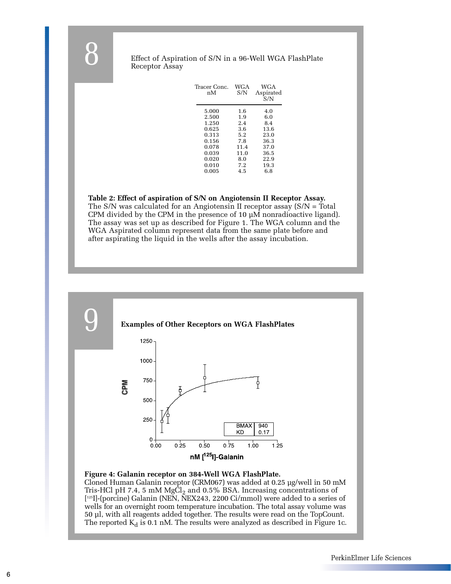### Effect of Aspiration of S/N in a 96-Well WGA FlashPlate Receptor Assay

| Tracer Conc.<br>пM | WGA<br>S/N | <b>WGA</b><br>Aspirated<br>S/N |
|--------------------|------------|--------------------------------|
| 5.000              | 1.6        | 4.0                            |
| 2.500              | 1.9        | 6.0                            |
| 1.250              | 2.4        | 8.4                            |
| 0.625              | 3.6        | 13.6                           |
| 0.313              | 5.2        | 23.0                           |
| 0.156              | 7.8        | 36.3                           |
| 0.078              | 11.4       | 37.0                           |
| 0.039              | 11.0       | 36.5                           |
| 0.020              | 8.0        | 22.9                           |
| 0.010              | 7.2        | 19.3                           |
| 0.005              | 4.5        | 6.8                            |

### **Table 2: Effect of aspiration of S/N on Angiotensin II Receptor Assay.**

The S/N was calculated for an Angiotensin II receptor assay (S/N = Total CPM divided by the CPM in the presence of 10  $\mu$ M nonradioactive ligand). The assay was set up as described for Figure 1. The WGA column and the WGA Aspirated column represent data from the same plate before and after aspirating the liquid in the wells after the assay incubation.



### **Figure 4: Galanin receptor on 384-Well WGA FlashPlate.**

Cloned Human Galanin receptor (CRM067) was added at 0.25 µg/well in 50 mM Tris-HCl pH 7.4, 5 mM  $MgCl<sub>2</sub>$  and 0.5% BSA. Increasing concentrations of [ 125I]-(porcine) Galanin (NEN, NEX243, 2200 Ci/mmol) were added to a series of wells for an overnight room temperature incubation. The total assay volume was 50 µl, with all reagents added together. The results were read on the TopCount. The reported  $K_d$  is 0.1 nM. The results were analyzed as described in Figure 1c.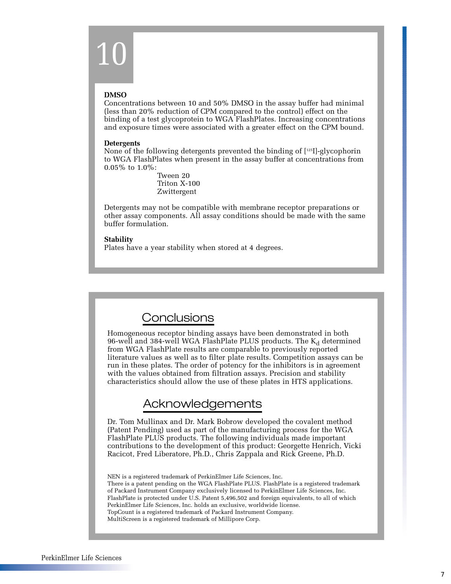# 10

### **DMSO**

Concentrations between 10 and 50% DMSO in the assay buffer had minimal (less than 20% reduction of CPM compared to the control) effect on the binding of a test glycoprotein to WGA FlashPlates. Increasing concentrations and exposure times were associated with a greater effect on the CPM bound.

### **Detergents**

None of the following detergents prevented the binding of  $[125]$ -glycophorin to WGA FlashPlates when present in the assay buffer at concentrations from 0.05% to 1.0%:

> Tween 20 Triton X-100 Zwittergent

Detergents may not be compatible with membrane receptor preparations or other assay components. All assay conditions should be made with the same buffer formulation.

### **Stability**

Plates have a year stability when stored at 4 degrees.

## **Conclusions**

Homogeneous receptor binding assays have been demonstrated in both 96-well and 384-well WGA FlashPlate PLUS products. The  $K_d$  determined from WGA FlashPlate results are comparable to previously reported literature values as well as to filter plate results. Competition assays can be run in these plates. The order of potency for the inhibitors is in agreement with the values obtained from filtration assays. Precision and stability characteristics should allow the use of these plates in HTS applications.

## Acknowledgements

Dr. Tom Mullinax and Dr. Mark Bobrow developed the covalent method (Patent Pending) used as part of the manufacturing process for the WGA FlashPlate PLUS products. The following individuals made important contributions to the development of this product: Georgette Henrich, Vicki Racicot, Fred Liberatore, Ph.D., Chris Zappala and Rick Greene, Ph.D.

NEN is a registered trademark of PerkinElmer Life Sciences, Inc. There is a patent pending on the WGA FlashPlate PLUS. FlashPlate is a registered trademark of Packard Instrument Company exclusively licensed to PerkinElmer Life Sciences, Inc. FlashPlate is protected under U.S. Patent 5,496,502 and foreign equivalents, to all of which PerkinElmer Life Sciences, Inc. holds an exclusive, worldwide license. TopCount is a registered trademark of Packard Instrument Company. MultiScreen is a registered trademark of Millipore Corp.